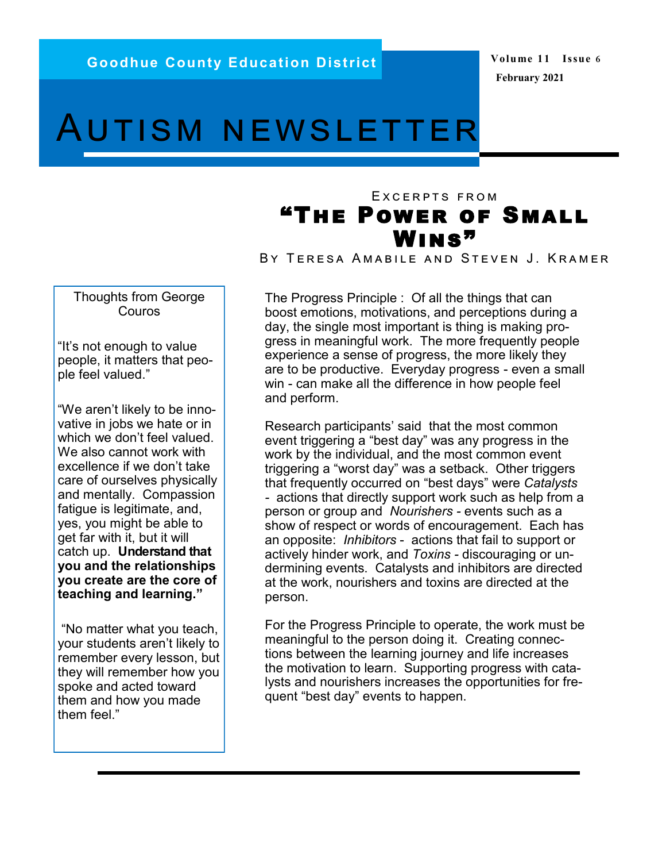## Autism newsletter

## EXCERPTS FROM "The Power of Small WINS"

BY TERESA AMABILE AND STEVEN J. KRAMER

Thoughts from George Couros

"It's not enough to value people, it matters that people feel valued."

"We aren't likely to be innovative in jobs we hate or in which we don't feel valued. We also cannot work with excellence if we don't take care of ourselves physically and mentally. Compassion fatigue is legitimate, and, yes, you might be able to get far with it, but it will catch up. **Understand that you and the relationships you create are the core of teaching and learning."** 

"No matter what you teach, your students aren't likely to remember every lesson, but they will remember how you spoke and acted toward them and how you made them feel."

The Progress Principle : Of all the things that can boost emotions, motivations, and perceptions during a day, the single most important is thing is making progress in meaningful work. The more frequently people experience a sense of progress, the more likely they are to be productive. Everyday progress - even a small win - can make all the difference in how people feel and perform.

Research participants' said that the most common event triggering a "best day" was any progress in the work by the individual, and the most common event triggering a "worst day" was a setback. Other triggers that frequently occurred on "best days" were *Catalysts -* actions that directly support work such as help from a person or group and *Nourishers -* events such as a show of respect or words of encouragement. Each has an opposite: *Inhibitors* - actions that fail to support or actively hinder work, and *Toxins -* discouraging or undermining events. Catalysts and inhibitors are directed at the work, nourishers and toxins are directed at the person.

For the Progress Principle to operate, the work must be meaningful to the person doing it. Creating connections between the learning journey and life increases the motivation to learn. Supporting progress with catalysts and nourishers increases the opportunities for frequent "best day" events to happen.